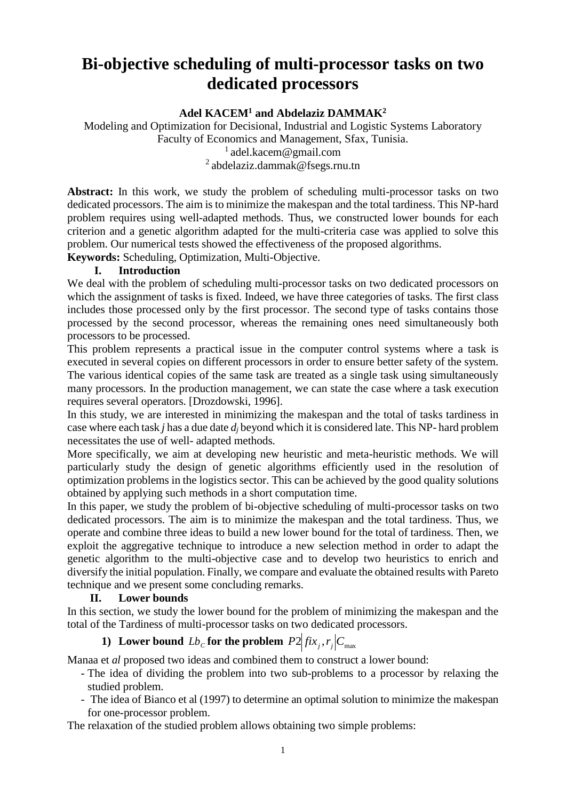# **Bi-objective scheduling of multi-processor tasks on two dedicated processors**

**Adel KACEM<sup>1</sup> and Abdelaziz DAMMAK<sup>2</sup>**

Modeling and Optimization for Decisional, Industrial and Logistic Systems Laboratory Faculty of Economics and Management, Sfax, Tunisia.  $1$  [adel.kacem@gmail.com](mailto:adel.kacem@gmail.com) <sup>2</sup>[abdelaziz.dammak@fsegs.rnu.tn](mailto:abdelaziz.dammak@fsegs.rnu.tn)

**Abstract:** In this work, we study the problem of scheduling multi-processor tasks on two dedicated processors. The aim is to minimize the makespan and the total tardiness. This NP-hard problem requires using well-adapted methods. Thus, we constructed lower bounds for each criterion and a genetic algorithm adapted for the multi-criteria case was applied to solve this problem. Our numerical tests showed the effectiveness of the proposed algorithms.

**Keywords:** Scheduling, Optimization, Multi-Objective.

# **I. Introduction**

We deal with the problem of scheduling multi-processor tasks on two dedicated processors on which the assignment of tasks is fixed. Indeed, we have three categories of tasks. The first class includes those processed only by the first processor. The second type of tasks contains those processed by the second processor, whereas the remaining ones need simultaneously both processors to be processed.

This problem represents a practical issue in the computer control systems where a task is executed in several copies on different processors in order to ensure better safety of the system. The various identical copies of the same task are treated as a single task using simultaneously many processors. In the production management, we can state the case where a task execution requires several operators. [Drozdowski, 1996].

In this study, we are interested in minimizing the makespan and the total of tasks tardiness in case where each task *j* has a due date *d<sup>j</sup>* beyond which it is considered late. This NP- hard problem necessitates the use of well- adapted methods.

More specifically, we aim at developing new heuristic and meta-heuristic methods. We will particularly study the design of genetic algorithms efficiently used in the resolution of optimization problems in the logistics sector. This can be achieved by the good quality solutions obtained by applying such methods in a short computation time.

In this paper, we study the problem of bi-objective scheduling of multi-processor tasks on two dedicated processors. The aim is to minimize the makespan and the total tardiness. Thus, we operate and combine three ideas to build a new lower bound for the total of tardiness. Then, we exploit the aggregative technique to introduce a new selection method in order to adapt the genetic algorithm to the multi-objective case and to develop two heuristics to enrich and diversify the initial population. Finally, we compare and evaluate the obtained results with Pareto technique and we present some concluding remarks.

#### **II. Lower bounds**

In this section, we study the lower bound for the problem of minimizing the makespan and the total of the Tardiness of multi-processor tasks on two dedicated processors.

# **1)** Lower bound  $Lb_c$  for the problem  $P2|fix_j, r_j|C_{max}$

Manaa et *al* proposed two ideas and combined them to construct a lower bound:

- The idea of dividing the problem into two sub-problems to a processor by relaxing the studied problem.
- The idea of Bianco et al (1997) to determine an optimal solution to minimize the makespan for one-processor problem.

The relaxation of the studied problem allows obtaining two simple problems: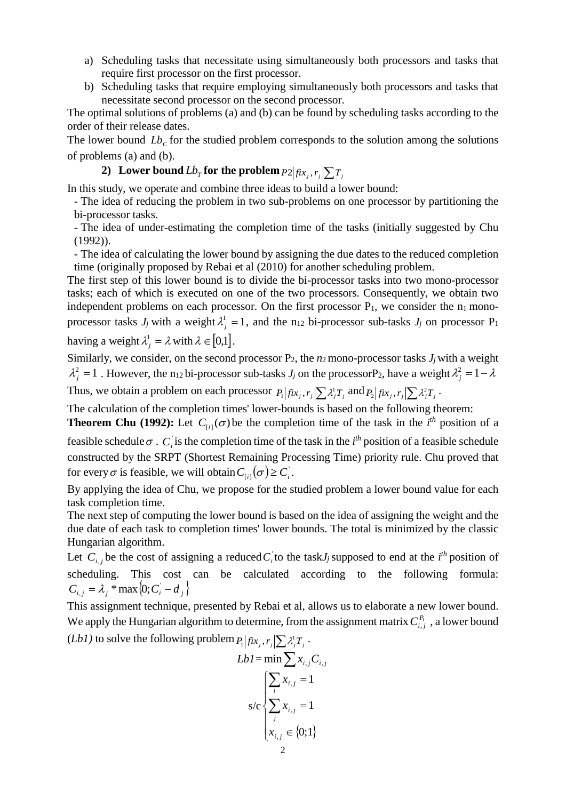- a) Scheduling tasks that necessitate using simultaneously both processors and tasks that require first processor on the first processor.
- b) Scheduling tasks that require employing simultaneously both processors and tasks that necessitate second processor on the second processor.

The optimal solutions of problems (a) and (b) can be found by scheduling tasks according to the order of their release dates.

The lower bound  $Lb_c$  for the studied problem corresponds to the solution among the solutions of problems (a) and (b).

**2**) Lower bound  $Lb_T$  for the problem  $P2|fix_j,r_j|\sum T_j$ 

In this study, we operate and combine three ideas to build a lower bound:

- The idea of reducing the problem in two sub-problems on one processor by partitioning the bi-processor tasks.

- The idea of under-estimating the completion time of the tasks (initially suggested by Chu (1992)).

- The idea of calculating the lower bound by assigning the due dates to the reduced completion time (originally proposed by Rebai et al (2010) for another scheduling problem.

The first step of this lower bound is to divide the bi-processor tasks into two mono-processor tasks; each of which is executed on one of the two processors. Consequently, we obtain two independent problems on each processor. On the first processor  $P_1$ , we consider the  $n_1$  monoprocessor tasks  $J_j$  with a weight  $\lambda_j^1 = 1$ , and the n<sub>12</sub> bi-processor sub-tasks  $J_j$  on processor P<sub>1</sub> having a weight  $\lambda_i^1 = \lambda$  $\lambda_{i} = \lambda$  with  $\lambda \in [0,1]$ .

Similarly, we consider, on the second processor  $P_2$ , the  $n_2$  mono-processor tasks  $J_i$  with a weight  $\lambda_j^2 = 1$ . However, the n<sub>12</sub> bi-processor sub-tasks *J<sub>j</sub>* on the processorP<sub>2</sub>, have a weight  $\lambda_j^2 = 1 - \lambda$ *j*

Thus, we obtain a problem on each processor  $P_1 | fix_j, r_j \ge \lambda_j^1 T_j$  and  $P_2 | fix_j, r_j \ge \lambda_j^2 T_j$ .

The calculation of the completion times' lower-bounds is based on the following theorem:

**Theorem Chu (1992):** Let  $C_{[i]}(\sigma)$  be the completion time of the task in the *i*<sup>th</sup> position of a feasible schedule  $\sigma$ .  $C_i$  is the completion time of the task in the *i*<sup>th</sup> position of a feasible schedule constructed by the SRPT (Shortest Remaining Processing Time) priority rule. Chu proved that for every  $\sigma$  is feasible, we will obtain  $C_{[i]}(\sigma) \geq C_i$ .

By applying the idea of Chu, we propose for the studied problem a lower bound value for each task completion time.

The next step of computing the lower bound is based on the idea of assigning the weight and the due date of each task to completion times' lower bounds. The total is minimized by the classic Hungarian algorithm.

Let  $C_{i,j}$  be the cost of assigning a reduced  $C_i$  to the task *J<sub>j</sub>* supposed to end at the *i*<sup>th</sup> position of scheduling. This cost can be calculated according to the following formula:  $C_{i,j} = \lambda_j * \max\{0; C_i - d_j\}$ 

This assignment technique, presented by Rebai et al, allows us to elaborate a new lower bound. We apply the Hungarian algorithm to determine, from the assignment matrix  $C_{i,j}^{P_1}$ , a lower bound (*Lb1*) to solve the following problem  $P_1 | fix_j, r_j \ge \lambda_j^1 T_j$ .

$$
LbI = \min \sum_{i} x_{i,j} C_{i,j}
$$

$$
s/c \begin{cases} \sum_{i} x_{i,j} = 1\\ \sum_{j} x_{i,j} = 1\\ x_{i,j} \in \{0;1\} \end{cases}
$$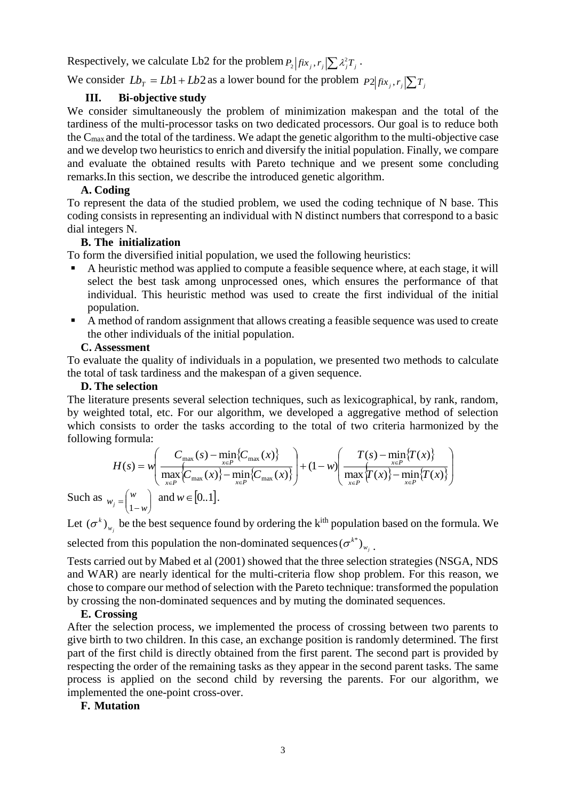Respectively, we calculate Lb2 for the problem  $P_2 | fix_j, r_j| \sum_i \lambda_j^2 T_j$ .

We consider  $Lb_T = Lb1 + Lb2$  as a lower bound for the problem  $P2|fix_j, r_j|\sum T_j$ 

## **III. Bi-objective study**

We consider simultaneously the problem of minimization makespan and the total of the tardiness of the multi-processor tasks on two dedicated processors. Our goal is to reduce both the Cmax and the total of the tardiness. We adapt the genetic algorithm to the multi-objective case and we develop two heuristics to enrich and diversify the initial population. Finally, we compare and evaluate the obtained results with Pareto technique and we present some concluding remarks.In this section, we describe the introduced genetic algorithm.

## **A. Coding**

To represent the data of the studied problem, we used the coding technique of N base. This coding consists in representing an individual with N distinct numbers that correspond to a basic dial integers N.

# **B. The initialization**

To form the diversified initial population, we used the following heuristics:

- A heuristic method was applied to compute a feasible sequence where, at each stage, it will select the best task among unprocessed ones, which ensures the performance of that individual. This heuristic method was used to create the first individual of the initial population.
- A method of random assignment that allows creating a feasible sequence was used to create the other individuals of the initial population.

#### **C. Assessment**

To evaluate the quality of individuals in a population, we presented two methods to calculate the total of task tardiness and the makespan of a given sequence.

#### **D. The selection**

The literature presents several selection techniques, such as lexicographical, by rank, random, by weighted total, etc. For our algorithm, we developed a aggregative method of selection which consists to order the tasks according to the total of two criteria harmonized by the following formula:

$$
H(s) = w \left( \frac{C_{\max}(s) - \min_{x \in P} \{C_{\max}(x)\}}{\max_{x \in P} \{C_{\max}(x)\} - \min_{x \in P} \{C_{\max}(x)\}} \right) + (1 - w) \left( \frac{T(s) - \min_{x \in P} \{T(x)\}}{\max_{x \in P} \{T(x)\} - \min_{x \in P} \{T(x)\}} \right)
$$
  
3  $w_j = \begin{pmatrix} w \\ 1 - w \end{pmatrix}$  and  $w \in [0, 1]$ .

Such as  $(1-w)$  $\overline{\phantom{0}}$ 1

Let  $(\sigma^k)_{w_j}$  $(\sigma^k)_{w}$  be the best sequence found by ordering the k<sup>ith</sup> population based on the formula. We selected from this population the non-dominated sequences  $(\sigma^{k^*})_{w_j}$  ${(\sigma^{k^*})}_{_{w_j}}$  .

Tests carried out by Mabed et al (2001) showed that the three selection strategies (NSGA, NDS and WAR) are nearly identical for the multi-criteria flow shop problem. For this reason, we chose to compare our method of selection with the Pareto technique: transformed the population by crossing the non-dominated sequences and by muting the dominated sequences.

#### **E. Crossing**

After the selection process, we implemented the process of crossing between two parents to give birth to two children. In this case, an exchange position is randomly determined. The first part of the first child is directly obtained from the first parent. The second part is provided by respecting the order of the remaining tasks as they appear in the second parent tasks. The same process is applied on the second child by reversing the parents. For our algorithm, we implemented the one-point cross-over.

#### **F. Mutation**